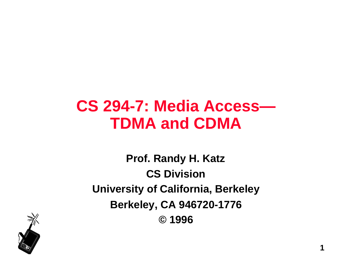### **CS 294-7: Media Access— TDMA and CDMA**

**Prof. Randy H. Katz CS Division University of California, Berkeley Berkeley, CA 946720-1776 © 1996**

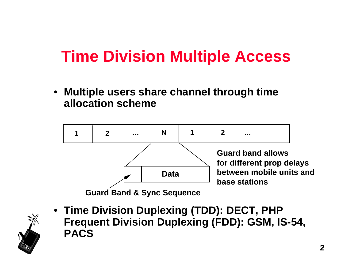## **Time Division Multiple Access**

• **Multiple users share channel through time allocation scheme**



• **Time Division Duplexing (TDD): DECT, PHP Frequent Division Duplexing (FDD): GSM, IS-54, PACS**

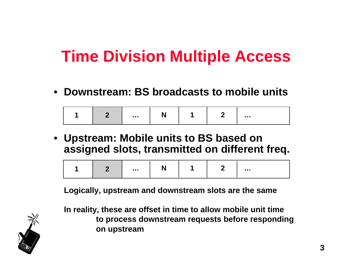## **Time Division Multiple Access**

• **Downstream: BS broadcasts to mobile units**

| . |  |  |  | . |
|---|--|--|--|---|
|---|--|--|--|---|

• **Upstream: Mobile units to BS based on assigned slots, transmitted on different freq.**

|  |  | . |  |  |  | . |
|--|--|---|--|--|--|---|
|--|--|---|--|--|--|---|

**Logically, upstream and downstream slots are the same**



**In reality, these are offset in time to allow mobile unit time to process downstream requests before responding on upstream**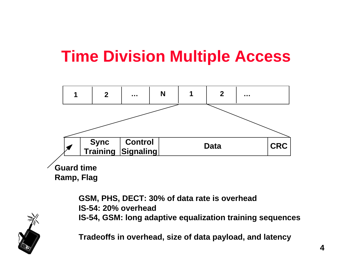## **Time Division Multiple Access**



**GSM, PHS, DECT: 30% of data rate is overhead IS-54: 20% overhead IS-54, GSM: long adaptive equalization training sequences**

**Tradeoffs in overhead, size of data payload, and latency**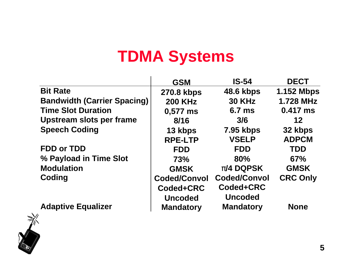## **TDMA Systems**

|                                    | <b>GSM</b>          | <b>IS-54</b>        | <b>DECT</b>       |
|------------------------------------|---------------------|---------------------|-------------------|
| <b>Bit Rate</b>                    | 270.8 kbps          | <b>48.6 kbps</b>    | <b>1.152 Mbps</b> |
| <b>Bandwidth (Carrier Spacing)</b> | <b>200 KHz</b>      | <b>30 KHz</b>       | <b>1.728 MHz</b>  |
| <b>Time Slot Duration</b>          | 0,577 ms            | 6.7 <sub>ms</sub>   | $0.417$ ms        |
| Upstream slots per frame           | 8/16                | 3/6                 | 12                |
| <b>Speech Coding</b>               | 13 kbps             | <b>7.95 kbps</b>    | 32 kbps           |
|                                    | <b>RPE-LTP</b>      | <b>VSELP</b>        | <b>ADPCM</b>      |
| <b>FDD or TDD</b>                  | <b>FDD</b>          | <b>FDD</b>          | <b>TDD</b>        |
| % Payload in Time Slot             | <b>73%</b>          | 80%                 | 67%               |
| <b>Modulation</b>                  | <b>GMSK</b>         | <b>/4 DQPSK</b>     | <b>GMSK</b>       |
| Coding                             | <b>Coded/Convol</b> | <b>Coded/Convol</b> | <b>CRC Only</b>   |
|                                    | Coded+CRC           | Coded+CRC           |                   |
|                                    | <b>Uncoded</b>      | <b>Uncoded</b>      |                   |
| <b>Adaptive Equalizer</b>          | <b>Mandatory</b>    | <b>Mandatory</b>    | <b>None</b>       |

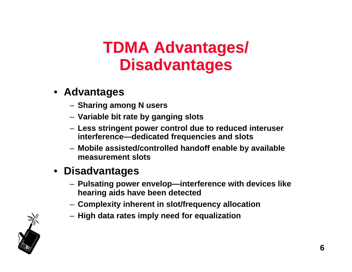### **TDMA Advantages/ Disadvantages**

#### • **Advantages**

- **Sharing among N users**
- **Variable bit rate by ganging slots**
- **Less stringent power control due to reduced interuser interference—dedicated frequencies and slots**
- **Mobile assisted/controlled handoff enable by available measurement slots**

#### • **Disadvantages**

- **Pulsating power envelop—interference with devices like hearing aids have been detected**
- **Complexity inherent in slot/frequency allocation**
- **High data rates imply need for equalization**

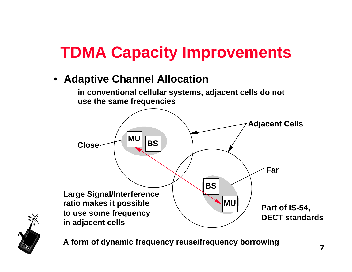# **TDMA Capacity Improvements**

- **Adaptive Channel Allocation**
	- **in conventional cellular systems, adjacent cells do not use the same frequencies**





**A form of dynamic frequency reuse/frequency borrowing**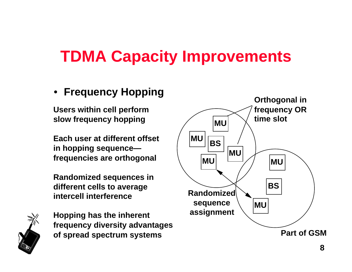## **TDMA Capacity Improvements**

#### • **Frequency Hopping**

**Users within cell perform slow frequency hopping**

**Each user at different offset in hopping sequence frequencies are orthogonal**

**Randomized sequences in different cells to average intercell interference**



**Hopping has the inherent frequency diversity advantages of spread spectrum systems**

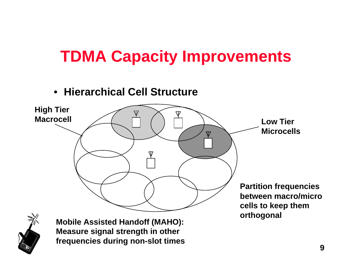## **TDMA Capacity Improvements**

#### • **Hierarchical Cell Structure**





**Measure signal strength in other frequencies during non-slot times**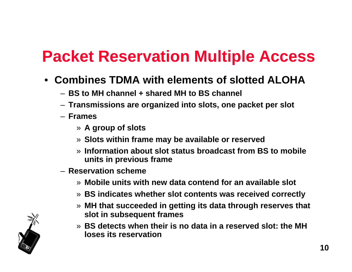## **Packet Reservation Multiple Access**

- **Combines TDMA with elements of slotted ALOHA**
	- **BS to MH channel + shared MH to BS channel**
	- **Transmissions are organized into slots, one packet per slot**
	- **Frames**
		- » **A group of slots**
		- » **Slots within frame may be available or reserved**
		- » **Information about slot status broadcast from BS to mobile units in previous frame**
	- **Reservation scheme**
		- » **Mobile units with new data contend for an available slot**
		- » **BS indicates whether slot contents was received correctly**
		- » **MH that succeeded in getting its data through reserves that slot in subsequent frames**
		- » **BS detects when their is no data in a reserved slot: the MH loses its reservation**

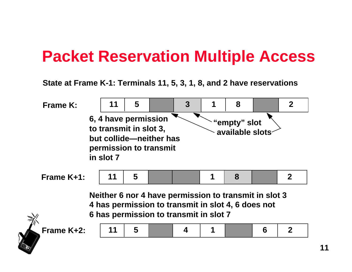### **Packet Reservation Multiple Access**

**State at Frame K-1: Terminals 11, 5, 3, 1, 8, and 2 have reservations**



**11**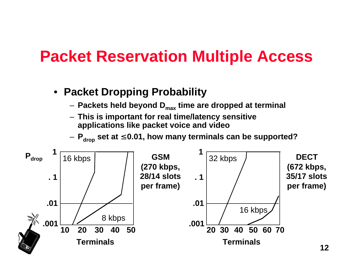### **Packet Reservation Multiple Access**

- **Packet Dropping Probability**
	- **Packets held beyond Dmax time are dropped at terminal**
	- **This is important for real time/latency sensitive applications like packet voice and video**

– **Pdrop set at 0.01, how many terminals can be supported?**

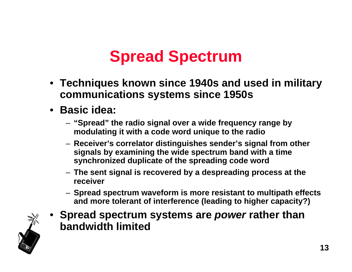- **Techniques known since 1940s and used in military communications systems since 1950s**
- **Basic idea:**
	- **"Spread" the radio signal over a wide frequency range by modulating it with a code word unique to the radio**
	- **Receiver's correlator distinguishes sender's signal from other signals by examining the wide spectrum band with a time synchronized duplicate of the spreading code word**
	- **The sent signal is recovered by a despreading process at the receiver**
	- **Spread spectrum waveform is more resistant to multipath effects and more tolerant of interference (leading to higher capacity?)**



• **Spread spectrum systems are power rather than bandwidth limited**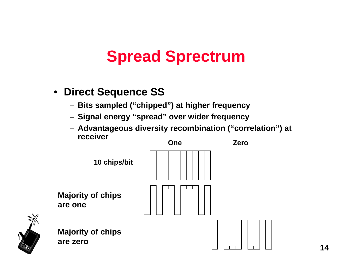#### • **Direct Sequence SS**

- **Bits sampled ("chipped") at higher frequency**
- **Signal energy "spread" over wider frequency**
- **Advantageous diversity recombination ("correlation") at receiver**





**Majority of chips are zero**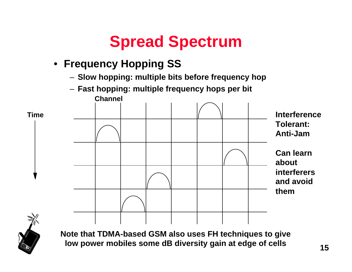### • **Frequency Hopping SS**

- **Slow hopping: multiple bits before frequency hop**
- **Fast hopping: multiple frequency hops per bit Channel**





**Note that TDMA-based GSM also uses FH techniques to give low power mobiles some dB diversity gain at edge of cells**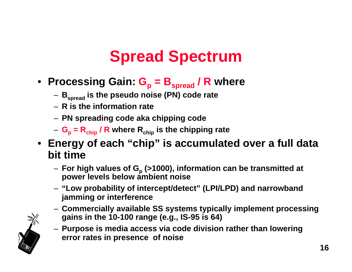- **Processing Gain: G<sup>p</sup> = Bspread / R where**
	- **Bspread is the pseudo noise (PN) code rate**
	- **R is the information rate**
	- **PN spreading code aka chipping code**
	- **G<sup>p</sup> = Rchip / R where Rchip is the chipping rate**
- **Energy of each "chip" is accumulated over a full data bit time**
	- **For high values of G<sup>p</sup> (>1000), information can be transmitted at power levels below ambient noise**
	- **"Low probability of intercept/detect" (LPI/LPD) and narrowband jamming or interference**
	- **Commercially available SS systems typically implement processing gains in the 10-100 range (e.g., IS-95 is 64)**



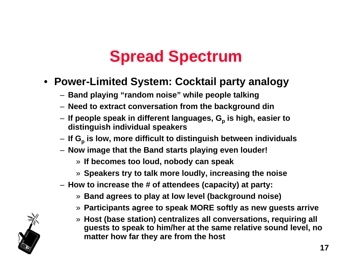#### • **Power-Limited System: Cocktail party analogy**

- **Band playing "random noise" while people talking**
- **Need to extract conversation from the background din**
- **If people speak in different languages, G<sup>p</sup> is high, easier to distinguish individual speakers**
- **If G<sup>p</sup> is low, more difficult to distinguish between individuals**
- **Now image that the Band starts playing even louder!**
	- » **If becomes too loud, nobody can speak**
	- » **Speakers try to talk more loudly, increasing the noise**
- **How to increase the # of attendees (capacity) at party:**
	- » **Band agrees to play at low level (background noise)**
	- » **Participants agree to speak MORE softly as new guests arrive**
	- » **Host (base station) centralizes all conversations, requiring all guests to speak to him/her at the same relative sound level, no matter how far they are from the host**

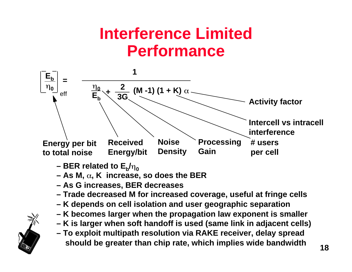## **Interference Limited Performance**



- BER related to  $\mathsf{E}_{\mathsf{b}}\!/\!\eta_{\mathsf{0}}$
- $-$  As M,  $\alpha$ , K increase, so does the BER
- **As G increases, BER decreases**
- **Trade decreased M for increased coverage, useful at fringe cells**
- **K depends on cell isolation and user geographic separation**
- **K becomes larger when the propagation law exponent is smaller**
- **K is larger when soft handoff is used (same link in adjacent cells)**
- **To exploit multipath resolution via RAKE receiver, delay spread should be greater than chip rate, which implies wide bandwidth**

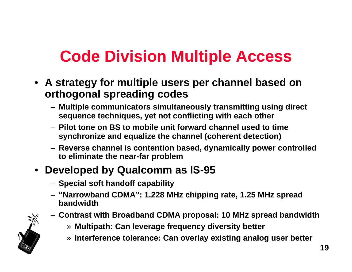# **Code Division Multiple Access**

- **A strategy for multiple users per channel based on orthogonal spreading codes**
	- **Multiple communicators simultaneously transmitting using direct sequence techniques, yet not conflicting with each other**
	- **Pilot tone on BS to mobile unit forward channel used to time synchronize and equalize the channel (coherent detection)**
	- **Reverse channel is contention based, dynamically power controlled to eliminate the near-far problem**

#### • **Developed by Qualcomm as IS-95**

- **Special soft handoff capability**
- **"Narrowband CDMA": 1.228 MHz chipping rate, 1.25 MHz spread bandwidth**
- **Contrast with Broadband CDMA proposal: 10 MHz spread bandwidth**

» **Multipath: Can leverage frequency diversity better**

» **Interference tolerance: Can overlay existing analog user better**

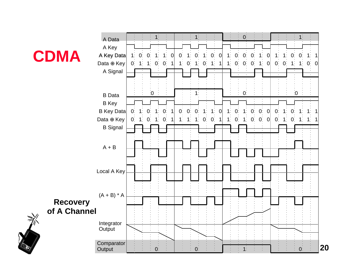

》



**20**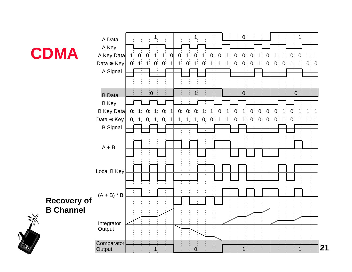

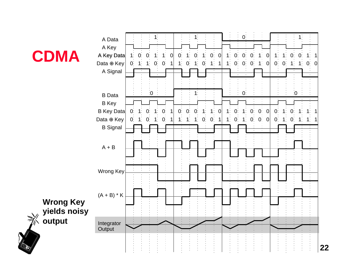

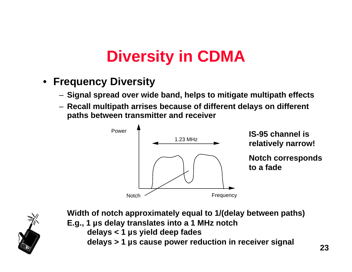# **Diversity in CDMA**

- **Frequency Diversity**
	- **Signal spread over wide band, helps to mitigate multipath effects**
	- **Recall multipath arrises because of different delays on different paths between transmitter and receiver**





**Width of notch approximately equal to 1/(delay between paths) E.g., 1 µs delay translates into a 1 MHz notch delays < 1 µs yield deep fades delays > 1 µs cause power reduction in receiver signal**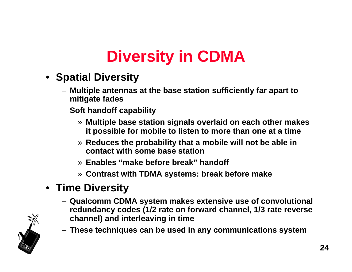# **Diversity in CDMA**

- **Spatial Diversity**
	- **Multiple antennas at the base station sufficiently far apart to mitigate fades**
	- **Soft handoff capability**
		- » **Multiple base station signals overlaid on each other makes it possible for mobile to listen to more than one at a time**
		- » **Reduces the probability that a mobile will not be able in contact with some base station**
		- » **Enables "make before break" handoff**
		- » **Contrast with TDMA systems: break before make**

### • **Time Diversity**

- **Qualcomm CDMA system makes extensive use of convolutional redundancy codes (1/2 rate on forward channel, 1/3 rate reverse channel) and interleaving in time**
- **These techniques can be used in any communications system**

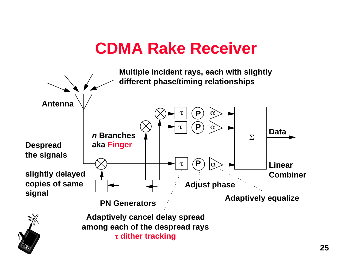## **CDMA Rake Receiver**

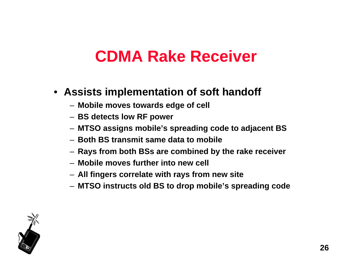### **CDMA Rake Receiver**

#### • **Assists implementation of soft handoff**

- **Mobile moves towards edge of cell**
- **BS detects low RF power**
- **MTSO assigns mobile's spreading code to adjacent BS**
- **Both BS transmit same data to mobile**
- **Rays from both BSs are combined by the rake receiver**
- **Mobile moves further into new cell**
- **All fingers correlate with rays from new site**
- **MTSO instructs old BS to drop mobile's spreading code**

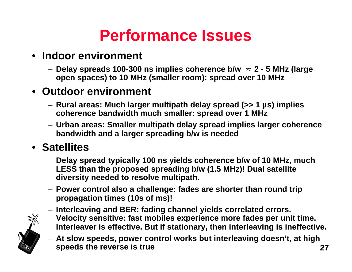## **Performance Issues**

#### • **Indoor environment**

– **Delay spreads 100-300 ns implies coherence b/w 2 - 5 MHz (large open spaces) to 10 MHz (smaller room): spread over 10 MHz**

#### • **Outdoor environment**

- **Rural areas: Much larger multipath delay spread (>> 1 µs) implies coherence bandwidth much smaller: spread over 1 MHz**
- **Urban areas: Smaller multipath delay spread implies larger coherence bandwidth and a larger spreading b/w is needed**

#### • **Satellites**

- **Delay spread typically 100 ns yields coherence b/w of 10 MHz, much LESS than the proposed spreading b/w (1.5 MHz)! Dual satellite diversity needed to resolve multipath.**
- **Power control also a challenge: fades are shorter than round trip propagation times (10s of ms)!**
- **Interleaving and BER: fading channel yields correlated errors. Velocity sensitive: fast mobiles experience more fades per unit time. Interleaver is effective. But if stationary, then interleaving is ineffective.**
- **27** – **At slow speeds, power control works but interleaving doesn't, at high speeds the reverse is true**

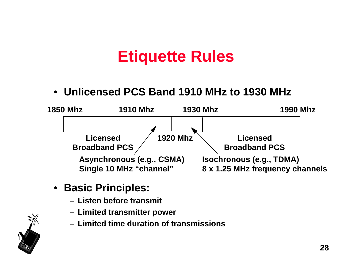• **Unlicensed PCS Band 1910 MHz to 1930 MHz**



- **Basic Principles:**
	- **Listen before transmit**
	- **Limited transmitter power**
	- **Limited time duration of transmissions**

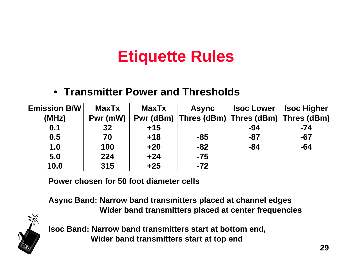#### • **Transmitter Power and Thresholds**

| <b>Emission B/W</b> | <b>MaxTx</b> | <b>MaxTx</b> | <b>Async</b>                                  | <b>Isoc Lower</b> | <b>Isoc Higher</b> |
|---------------------|--------------|--------------|-----------------------------------------------|-------------------|--------------------|
| (MHz)               | Pwr (mW)     |              | Pwr (dBm) Thres (dBm) Thres (dBm) Thres (dBm) |                   |                    |
| 0.1                 | 32           | $+15$        |                                               | -94               | $-74$              |
| 0.5                 | 70           | $+18$        | $-85$                                         | -87               | $-67$              |
| 1.0                 | 100          | $+20$        | $-82$                                         | $-84$             | $-64$              |
| 5.0                 | 224          | $+24$        | $-75$                                         |                   |                    |
| 10.0                | 315          | $+25$        | $-72$                                         |                   |                    |

**Power chosen for 50 foot diameter cells**

**Async Band: Narrow band transmitters placed at channel edges Wider band transmitters placed at center frequencies**



**Isoc Band: Narrow band transmitters start at bottom end, Wider band transmitters start at top end**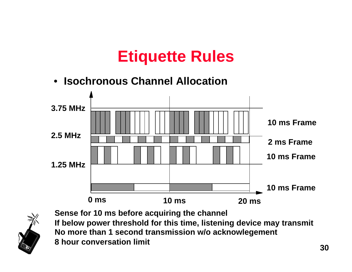• **Isochronous Channel Allocation 0 ms 10 ms 20 ms 1.25 MHz 2.5 MHz 3.75 MHz 10 ms Frame 10 ms Frame 2 ms Frame 10 ms Frame**



**Sense for 10 ms before acquiring the channel If below power threshold for this time, listening device may transmit No more than 1 second transmission w/o acknowlegement 8 hour conversation limit**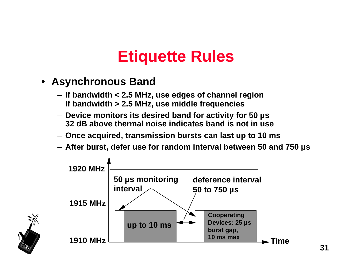- **Asynchronous Band**
	- **If bandwidth < 2.5 MHz, use edges of channel region If bandwidth > 2.5 MHz, use middle frequencies**
	- **Device monitors its desired band for activity for 50 µs 32 dB above thermal noise indicates band is not in use**
	- **Once acquired, transmission bursts can last up to 10 ms**
	- **After burst, defer use for random interval between 50 and 750 µs**



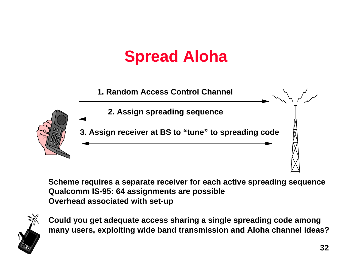# **Spread Aloha**



**Scheme requires a separate receiver for each active spreading sequence Qualcomm IS-95: 64 assignments are possible Overhead associated with set-up**



**Could you get adequate access sharing a single spreading code among many users, exploiting wide band transmission and Aloha channel ideas?**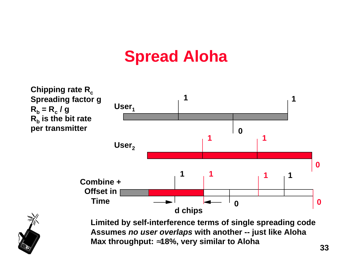## **Spread Aloha**



**Limited by self-interference terms of single spreading code Assumes no user overlaps with another -- just like Aloha Max throughput: 18%, very similar to Aloha**